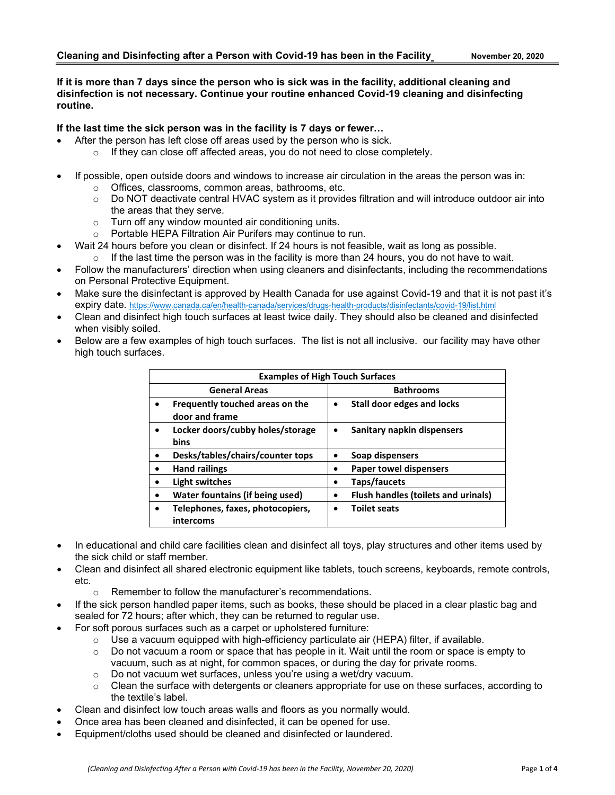#### **If it is more than 7 days since the person who is sick was in the facility, additional cleaning and disinfection is not necessary. Continue your routine enhanced Covid-19 cleaning and disinfecting routine.**

#### **If the last time the sick person was in the facility is 7 days or fewer…**

- After the person has left close off areas used by the person who is sick.
	- o If they can close off affected areas, you do not need to close completely.
- If possible, open outside doors and windows to increase air circulation in the areas the person was in:
	- o Offices, classrooms, common areas, bathrooms, etc.
	- $\circ$  Do NOT deactivate central HVAC system as it provides filtration and will introduce outdoor air into the areas that they serve.
	- o Turn off any window mounted air conditioning units.
	- o Portable HEPA Filtration Air Purifers may continue to run.
	- Wait 24 hours before you clean or disinfect. If 24 hours is not feasible, wait as long as possible.
		- $\circ$  If the last time the person was in the facility is more than 24 hours, you do not have to wait.
- Follow the manufacturers' direction when using cleaners and disinfectants, including the recommendations on Personal Protective Equipment.
- Make sure the disinfectant is approved by Health Canada for use against Covid-19 and that it is not past it's expiry date. <https://www.canada.ca/en/health-canada/services/drugs-health-products/disinfectants/covid-19/list.html>
- Clean and disinfect high touch surfaces at least twice daily. They should also be cleaned and disinfected when visibly soiled.
- Below are a few examples of high touch surfaces. The list is not all inclusive. our facility may have other high touch surfaces.

| <b>Examples of High Touch Surfaces</b>            |                                            |  |
|---------------------------------------------------|--------------------------------------------|--|
| <b>General Areas</b>                              | <b>Bathrooms</b>                           |  |
| Frequently touched areas on the<br>door and frame | Stall door edges and locks                 |  |
| Locker doors/cubby holes/storage<br>bins          | Sanitary napkin dispensers                 |  |
| Desks/tables/chairs/counter tops                  | Soap dispensers                            |  |
| <b>Hand railings</b>                              | <b>Paper towel dispensers</b>              |  |
| Light switches                                    | Taps/faucets                               |  |
| <b>Water fountains (if being used)</b>            | <b>Flush handles (toilets and urinals)</b> |  |
| Telephones, faxes, photocopiers,<br>intercoms     | <b>Toilet seats</b>                        |  |

- In educational and child care facilities clean and disinfect all toys, play structures and other items used by the sick child or staff member.
- Clean and disinfect all shared electronic equipment like tablets, touch screens, keyboards, remote controls, etc.
	- o Remember to follow the manufacturer's recommendations.
- If the sick person handled paper items, such as books, these should be placed in a clear plastic bag and sealed for 72 hours; after which, they can be returned to regular use.
- For soft porous surfaces such as a carpet or upholstered furniture:
	- $\circ$  Use a vacuum equipped with high-efficiency particulate air (HEPA) filter, if available.<br> $\circ$  Do not vacuum a room or space that has people in it. Wait until the room or space is
		- Do not vacuum a room or space that has people in it. Wait until the room or space is empty to vacuum, such as at night, for common spaces, or during the day for private rooms.
	- o Do not vacuum wet surfaces, unless you're using a wet/dry vacuum.
	- $\circ$  Clean the surface with detergents or cleaners appropriate for use on these surfaces, according to the textile's label.
- Clean and disinfect low touch areas walls and floors as you normally would.
- Once area has been cleaned and disinfected, it can be opened for use.
- Equipment/cloths used should be cleaned and disinfected or laundered.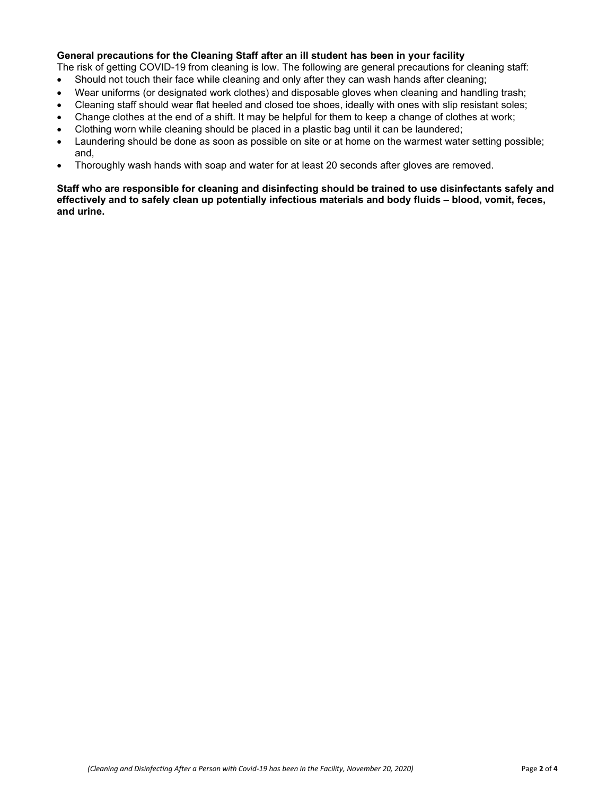### **General precautions for the Cleaning Staff after an ill student has been in your facility**

The risk of getting COVID-19 from cleaning is low. The following are general precautions for cleaning staff:

- Should not touch their face while cleaning and only after they can wash hands after cleaning;
- Wear uniforms (or designated work clothes) and disposable gloves when cleaning and handling trash;
- Cleaning staff should wear flat heeled and closed toe shoes, ideally with ones with slip resistant soles;
- Change clothes at the end of a shift. It may be helpful for them to keep a change of clothes at work;
- Clothing worn while cleaning should be placed in a plastic bag until it can be laundered;
- Laundering should be done as soon as possible on site or at home on the warmest water setting possible; and,
- Thoroughly wash hands with soap and water for at least 20 seconds after gloves are removed.

#### **Staff who are responsible for cleaning and disinfecting should be trained to use disinfectants safely and effectively and to safely clean up potentially infectious materials and body fluids – blood, vomit, feces, and urine.**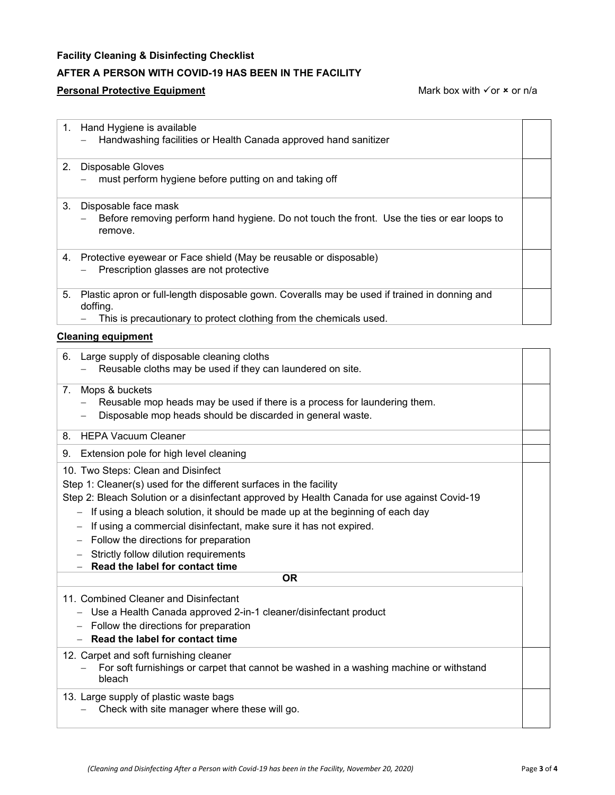## **Facility Cleaning & Disinfecting Checklist**

# **AFTER A PERSON WITH COVID-19 HAS BEEN IN THE FACILITY**

#### **Personal Protective Equipment** Mark box with  $\checkmark$  or  $\star$  or n/a

|    | 1. Hand Hygiene is available<br>Handwashing facilities or Health Canada approved hand sanitizer                                                                                                                                                                                                                                                                                                                                                                                       |  |  |  |
|----|---------------------------------------------------------------------------------------------------------------------------------------------------------------------------------------------------------------------------------------------------------------------------------------------------------------------------------------------------------------------------------------------------------------------------------------------------------------------------------------|--|--|--|
| 2. | Disposable Gloves<br>must perform hygiene before putting on and taking off                                                                                                                                                                                                                                                                                                                                                                                                            |  |  |  |
| 3. | Disposable face mask<br>Before removing perform hand hygiene. Do not touch the front. Use the ties or ear loops to<br>remove.                                                                                                                                                                                                                                                                                                                                                         |  |  |  |
| 4. | Protective eyewear or Face shield (May be reusable or disposable)<br>Prescription glasses are not protective                                                                                                                                                                                                                                                                                                                                                                          |  |  |  |
| 5. | Plastic apron or full-length disposable gown. Coveralls may be used if trained in donning and<br>doffing.<br>This is precautionary to protect clothing from the chemicals used.                                                                                                                                                                                                                                                                                                       |  |  |  |
|    | <b>Cleaning equipment</b>                                                                                                                                                                                                                                                                                                                                                                                                                                                             |  |  |  |
| 6. | Large supply of disposable cleaning cloths<br>Reusable cloths may be used if they can laundered on site.                                                                                                                                                                                                                                                                                                                                                                              |  |  |  |
| 7. | Mops & buckets<br>Reusable mop heads may be used if there is a process for laundering them.<br>Disposable mop heads should be discarded in general waste.                                                                                                                                                                                                                                                                                                                             |  |  |  |
| 8. | <b>HEPA Vacuum Cleaner</b>                                                                                                                                                                                                                                                                                                                                                                                                                                                            |  |  |  |
| 9. | Extension pole for high level cleaning                                                                                                                                                                                                                                                                                                                                                                                                                                                |  |  |  |
|    | 10. Two Steps: Clean and Disinfect<br>Step 1: Cleaner(s) used for the different surfaces in the facility<br>Step 2: Bleach Solution or a disinfectant approved by Health Canada for use against Covid-19<br>- If using a bleach solution, it should be made up at the beginning of each day<br>If using a commercial disinfectant, make sure it has not expired.<br>Follow the directions for preparation<br>Strictly follow dilution requirements<br>Read the label for contact time |  |  |  |
|    | ΟR                                                                                                                                                                                                                                                                                                                                                                                                                                                                                    |  |  |  |
|    |                                                                                                                                                                                                                                                                                                                                                                                                                                                                                       |  |  |  |

### 11. Combined Cleaner and Disinfectant

- − Use a Health Canada approved 2-in-1 cleaner/disinfectant product
- − Follow the directions for preparation
- − **Read the label for contact time**

12. Carpet and soft furnishing cleaner

− For soft furnishings or carpet that cannot be washed in a washing machine or withstand bleach

#### 13. Large supply of plastic waste bags

− Check with site manager where these will go.